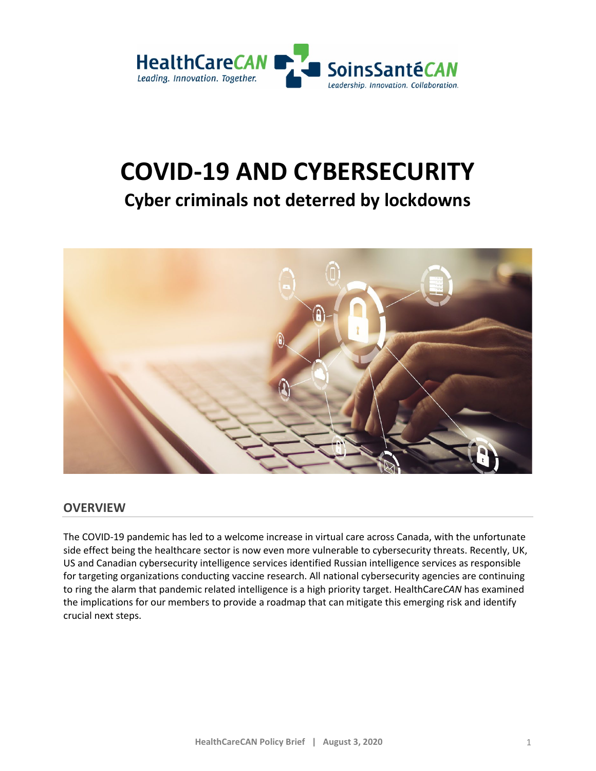

# **COVID-19 AND CYBERSECURITY Cyber criminals not deterred by lockdowns**



### **OVERVIEW**

The COVID-19 pandemic has led to a welcome increase in virtual care across Canada, with the unfortunate side effect being the healthcare sector is now even more vulnerable to cybersecurity threats. Recently, UK, US and Canadian cybersecurity intelligence services identified Russian intelligence services as responsible for targeting organizations conducting vaccine research. All national cybersecurity agencies are continuing to ring the alarm that pandemic related intelligence is a high priority target. HealthCare*CAN* has examined the implications for our members to provide a roadmap that can mitigate this emerging risk and identify crucial next steps.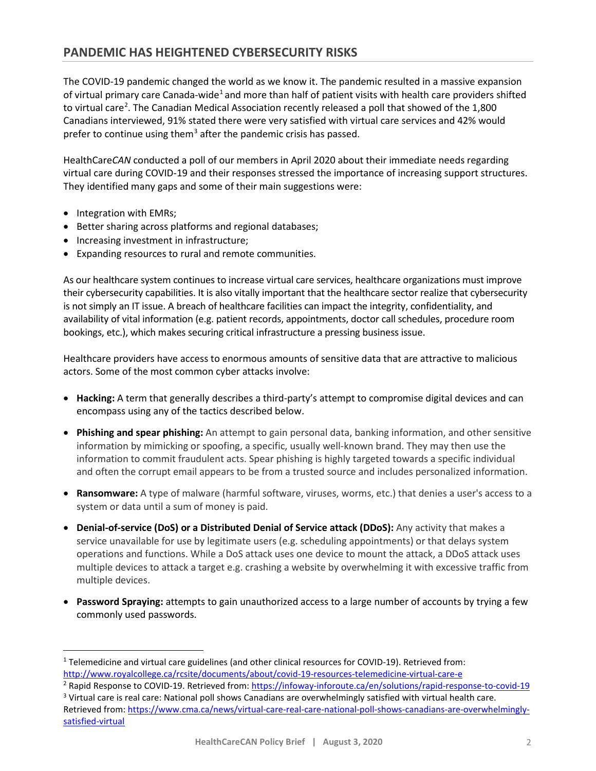## **PANDEMIC HAS HEIGHTENED CYBERSECURITY RISKS**

The COVID-19 pandemic changed the world as we know it. The pandemic resulted in a massive expansion of virtual primary care Canada-wide<sup>[1](#page-1-0)</sup> and more than half of patient visits with health care providers shifted to virtual care<sup>[2](#page-1-1)</sup>. The Canadian Medical Association recently released a poll that showed of the 1,800 Canadians interviewed, 91% stated there were very satisfied with virtual care services and 42% would prefer to continue using them<sup>[3](#page-1-2)</sup> after the pandemic crisis has passed.

HealthCare*CAN* conducted a poll of our members in April 2020 about their immediate needs regarding virtual care during COVID-19 and their responses stressed the importance of increasing support structures. They identified many gaps and some of their main suggestions were:

- Integration with EMRs;
- Better sharing across platforms and regional databases;
- Increasing investment in infrastructure;
- Expanding resources to rural and remote communities.

As our healthcare system continues to increase virtual care services, healthcare organizations must improve their cybersecurity capabilities. It is also vitally important that the healthcare sector realize that cybersecurity is not simply an IT issue. A breach of healthcare facilities can impact the integrity, confidentiality, and availability of vital information (e.g. patient records, appointments, doctor call schedules, procedure room bookings, etc.), which makes securing critical infrastructure a pressing business issue.

Healthcare providers have access to enormous amounts of sensitive data that are attractive to malicious actors. Some of the most common cyber attacks involve:

- **Hacking:** A term that generally describes a third-party's attempt to compromise digital devices and can encompass using any of the tactics described below.
- **Phishing and spear phishing:** An attempt to gain personal data, banking information, and other sensitive information by mimicking or spoofing, a specific, usually well-known brand. They may then use the information to commit fraudulent acts. Spear phishing is highly targeted towards a specific individual and often the corrupt email appears to be from a trusted source and includes personalized information.
- **Ransomware:** A type of malware (harmful software, viruses, worms, etc.) that denies a user's access to a system or data until a sum of money is paid.
- **Denial-of-service (DoS) or a Distributed Denial of Service attack (DDoS):** Any activity that makes a service unavailable for use by legitimate users (e.g. scheduling appointments) or that delays system operations and functions. While a DoS attack uses one device to mount the attack, a DDoS attack uses multiple devices to attack a target e.g. crashing a website by overwhelming it with excessive traffic from multiple devices.
- **Password Spraying:** attempts to gain unauthorized access to a large number of accounts by trying a few commonly used passwords.

<span id="page-1-0"></span><sup>&</sup>lt;sup>1</sup> Telemedicine and virtual care guidelines (and other clinical resources for COVID-19). Retrieved from: [http://www.royalcollege.ca/rcsite/documents/about/covid-19-resources-telemedicine-virtual-care-e](about:blank)

<span id="page-1-2"></span><span id="page-1-1"></span><sup>&</sup>lt;sup>2</sup> Rapid Response to COVID-19. Retrieved from[: https://infoway-inforoute.ca/en/solutions/rapid-response-to-covid-19](about:blank) <sup>3</sup> Virtual care is real care: National poll shows Canadians are overwhelmingly satisfied with virtual health care.

Retrieved from[: https://www.cma.ca/news/virtual-care-real-care-national-poll-shows-canadians-are-overwhelmingly](about:blank)[satisfied-virtual](about:blank)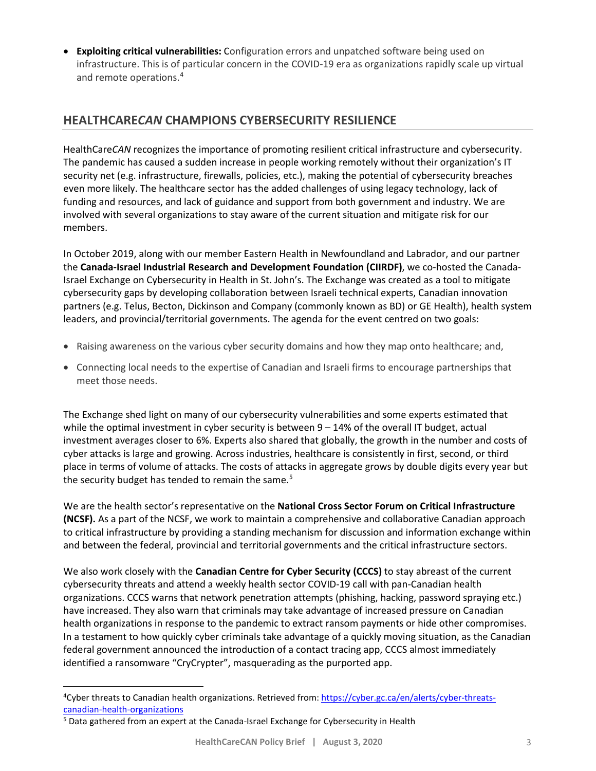• **Exploiting critical vulnerabilities:** Configuration errors and unpatched software being used on infrastructure. This is of particular concern in the COVID-19 era as organizations rapidly scale up virtual and remote operations.[4](#page-2-0)

## **HEALTHCARE***CAN* **CHAMPIONS CYBERSECURITY RESILIENCE**

HealthCare*CAN* recognizes the importance of promoting resilient critical infrastructure and cybersecurity. The pandemic has caused a sudden increase in people working remotely without their organization's IT security net (e.g. infrastructure, firewalls, policies, etc.), making the potential of cybersecurity breaches even more likely. The healthcare sector has the added challenges of using legacy technology, lack of funding and resources, and lack of guidance and support from both government and industry. We are involved with several organizations to stay aware of the current situation and mitigate risk for our members.

In October 2019, along with our member Eastern Health in Newfoundland and Labrador, and our partner the **Canada-Israel Industrial Research and Development Foundation (CIIRDF)**, we co-hosted the Canada-Israel Exchange on Cybersecurity in Health in St. John's. The Exchange was created as a tool to mitigate cybersecurity gaps by developing collaboration between Israeli technical experts, Canadian innovation partners (e.g. Telus, Becton, Dickinson and Company (commonly known as BD) or GE Health), health system leaders, and provincial/territorial governments. The agenda for the event centred on two goals:

- Raising awareness on the various cyber security domains and how they map onto healthcare; and,
- Connecting local needs to the expertise of Canadian and Israeli firms to encourage partnerships that meet those needs.

The Exchange shed light on many of our cybersecurity vulnerabilities and some experts estimated that while the optimal investment in cyber security is between  $9 - 14\%$  of the overall IT budget, actual investment averages closer to 6%. Experts also shared that globally, the growth in the number and costs of cyber attacks is large and growing. Across industries, healthcare is consistently in first, second, or third place in terms of volume of attacks. The costs of attacks in aggregate grows by double digits every year but the security budget has tended to remain the same. $5$ 

We are the health sector's representative on the **National Cross Sector Forum on Critical Infrastructure (NCSF).** As a part of the NCSF, we work to maintain a comprehensive and collaborative Canadian approach to critical infrastructure by providing a standing mechanism for discussion and information exchange within and between the federal, provincial and territorial governments and the critical infrastructure sectors.

We also work closely with the **Canadian Centre for Cyber Security (CCCS)** to stay abreast of the current cybersecurity threats and attend a weekly health sector COVID-19 call with pan-Canadian health organizations. CCCS warns that network penetration attempts (phishing, hacking, password spraying etc.) have increased. They also warn that criminals may take advantage of increased pressure on Canadian health organizations in response to the pandemic to extract ransom payments or hide other compromises. In a testament to how quickly cyber criminals take advantage of a quickly moving situation, as the Canadian federal government announced the introduction of a contact tracing app, CCCS almost immediately identified a ransomware "CryCrypter", masquerading as the purported app.

<span id="page-2-0"></span><sup>&</sup>lt;sup>4</sup>Cyber threats to Canadian health organizations. Retrieved from: [https://cyber.gc.ca/en/alerts/cyber-threats](about:blank)[canadian-health-organizations](about:blank)

<span id="page-2-1"></span><sup>&</sup>lt;sup>5</sup> Data gathered from an expert at the Canada-Israel Exchange for Cybersecurity in Health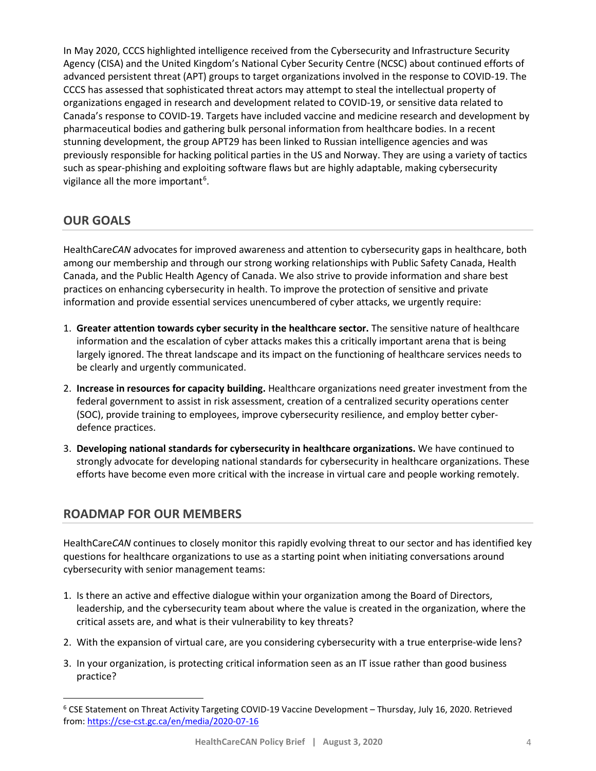In May 2020, CCCS highlighted intelligence received from the Cybersecurity and Infrastructure Security Agency (CISA) and the United Kingdom's National Cyber Security Centre (NCSC) about continued efforts of advanced persistent threat (APT) groups to target organizations involved in the response to COVID-19. The CCCS has assessed that sophisticated threat actors may attempt to steal the intellectual property of organizations engaged in research and development related to COVID-19, or sensitive data related to Canada's response to COVID-19. Targets have included vaccine and medicine research and development by pharmaceutical bodies and gathering bulk personal information from healthcare bodies. In a recent stunning development, the group APT29 has been linked to Russian intelligence agencies and was previously responsible for hacking political parties in the US and Norway. They are using a variety of tactics such as spear-phishing and exploiting software flaws but are highly adaptable, making cybersecurity vigilance all the more important<sup>[6](#page-3-0)</sup>.

# **OUR GOALS**

HealthCare*CAN* advocates for improved awareness and attention to cybersecurity gaps in healthcare, both among our membership and through our strong working relationships with Public Safety Canada, Health Canada, and the Public Health Agency of Canada. We also strive to provide information and share best practices on enhancing cybersecurity in health. To improve the protection of sensitive and private information and provide essential services unencumbered of cyber attacks, we urgently require:

- 1. **Greater attention towards cyber security in the healthcare sector.** The sensitive nature of healthcare information and the escalation of cyber attacks makes this a critically important arena that is being largely ignored. The threat landscape and its impact on the functioning of healthcare services needs to be clearly and urgently communicated.
- 2. **Increase in resources for capacity building.** Healthcare organizations need greater investment from the federal government to assist in risk assessment, creation of a centralized security operations center (SOC), provide training to employees, improve cybersecurity resilience, and employ better cyberdefence practices.
- 3. **Developing national standards for cybersecurity in healthcare organizations.** We have continued to strongly advocate for developing national standards for cybersecurity in healthcare organizations. These efforts have become even more critical with the increase in virtual care and people working remotely.

## **ROADMAP FOR OUR MEMBERS**

HealthCare*CAN* continues to closely monitor this rapidly evolving threat to our sector and has identified key questions for healthcare organizations to use as a starting point when initiating conversations around cybersecurity with senior management teams:

- 1. Is there an active and effective dialogue within your organization among the Board of Directors, leadership, and the cybersecurity team about where the value is created in the organization, where the critical assets are, and what is their vulnerability to key threats?
- 2. With the expansion of virtual care, are you considering cybersecurity with a true enterprise-wide lens?
- 3. In your organization, is protecting critical information seen as an IT issue rather than good business practice?

<span id="page-3-0"></span><sup>6</sup> CSE Statement on Threat Activity Targeting COVID-19 Vaccine Development – Thursday, July 16, 2020. Retrieved from:<https://cse-cst.gc.ca/en/media/2020-07-16>